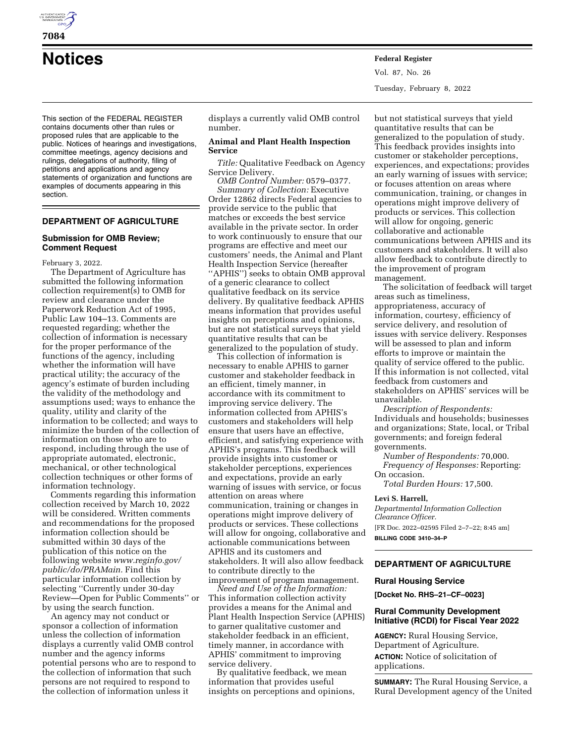

**Notices Federal Register**

This section of the FEDERAL REGISTER contains documents other than rules or proposed rules that are applicable to the public. Notices of hearings and investigations, committee meetings, agency decisions and rulings, delegations of authority, filing of petitions and applications and agency statements of organization and functions are examples of documents appearing in this section.

# **DEPARTMENT OF AGRICULTURE**

## **Submission for OMB Review; Comment Request**

February 3, 2022.

The Department of Agriculture has submitted the following information collection requirement(s) to OMB for review and clearance under the Paperwork Reduction Act of 1995, Public Law 104–13. Comments are requested regarding; whether the collection of information is necessary for the proper performance of the functions of the agency, including whether the information will have practical utility; the accuracy of the agency's estimate of burden including the validity of the methodology and assumptions used; ways to enhance the quality, utility and clarity of the information to be collected; and ways to minimize the burden of the collection of information on those who are to respond, including through the use of appropriate automated, electronic, mechanical, or other technological collection techniques or other forms of information technology.

Comments regarding this information collection received by March 10, 2022 will be considered. Written comments and recommendations for the proposed information collection should be submitted within 30 days of the publication of this notice on the following website *[www.reginfo.gov/](http://www.reginfo.gov/public/do/PRAMain)  [public/do/PRAMain.](http://www.reginfo.gov/public/do/PRAMain)* Find this particular information collection by selecting ''Currently under 30-day Review—Open for Public Comments'' or by using the search function.

An agency may not conduct or sponsor a collection of information unless the collection of information displays a currently valid OMB control number and the agency informs potential persons who are to respond to the collection of information that such persons are not required to respond to the collection of information unless it

displays a currently valid OMB control number.

## **Animal and Plant Health Inspection Service**

*Title:* Qualitative Feedback on Agency Service Delivery.

*OMB Control Number:* 0579–0377. *Summary of Collection:* Executive Order 12862 directs Federal agencies to provide service to the public that matches or exceeds the best service available in the private sector. In order to work continuously to ensure that our programs are effective and meet our customers' needs, the Animal and Plant Health Inspection Service (hereafter ''APHIS'') seeks to obtain OMB approval of a generic clearance to collect qualitative feedback on its service delivery. By qualitative feedback APHIS means information that provides useful insights on perceptions and opinions, but are not statistical surveys that yield quantitative results that can be generalized to the population of study.

This collection of information is necessary to enable APHIS to garner customer and stakeholder feedback in an efficient, timely manner, in accordance with its commitment to improving service delivery. The information collected from APHIS's customers and stakeholders will help ensure that users have an effective, efficient, and satisfying experience with APHIS's programs. This feedback will provide insights into customer or stakeholder perceptions, experiences and expectations, provide an early warning of issues with service, or focus attention on areas where communication, training or changes in operations might improve delivery of products or services. These collections will allow for ongoing, collaborative and actionable communications between APHIS and its customers and stakeholders. It will also allow feedback to contribute directly to the improvement of program management.

*Need and Use of the Information:*  This information collection activity provides a means for the Animal and Plant Health Inspection Service (APHIS) to garner qualitative customer and stakeholder feedback in an efficient, timely manner, in accordance with APHIS' commitment to improving service delivery.

By qualitative feedback, we mean information that provides useful insights on perceptions and opinions, but not statistical surveys that yield quantitative results that can be generalized to the population of study. This feedback provides insights into customer or stakeholder perceptions, experiences, and expectations; provides an early warning of issues with service; or focuses attention on areas where communication, training, or changes in operations might improve delivery of products or services. This collection will allow for ongoing, generic collaborative and actionable communications between APHIS and its customers and stakeholders. It will also allow feedback to contribute directly to the improvement of program management.

The solicitation of feedback will target areas such as timeliness, appropriateness, accuracy of information, courtesy, efficiency of service delivery, and resolution of issues with service delivery. Responses will be assessed to plan and inform efforts to improve or maintain the quality of service offered to the public. If this information is not collected, vital feedback from customers and stakeholders on APHIS' services will be unavailable.

*Description of Respondents:*  Individuals and households; businesses and organizations; State, local, or Tribal governments; and foreign federal governments.

*Number of Respondents:* 70,000. *Frequency of Responses:* Reporting: On occasion.

*Total Burden Hours:* 17,500.

## **Levi S. Harrell,**

*Departmental Information Collection Clearance Officer.*  [FR Doc. 2022–02595 Filed 2–7–22; 8:45 am] **BILLING CODE 3410–34–P** 

# **DEPARTMENT OF AGRICULTURE**

#### **Rural Housing Service**

**[Docket No. RHS–21–CF–0023]** 

## **Rural Community Development Initiative (RCDI) for Fiscal Year 2022**

**AGENCY:** Rural Housing Service, Department of Agriculture. **ACTION:** Notice of solicitation of applications.

**SUMMARY:** The Rural Housing Service, a Rural Development agency of the United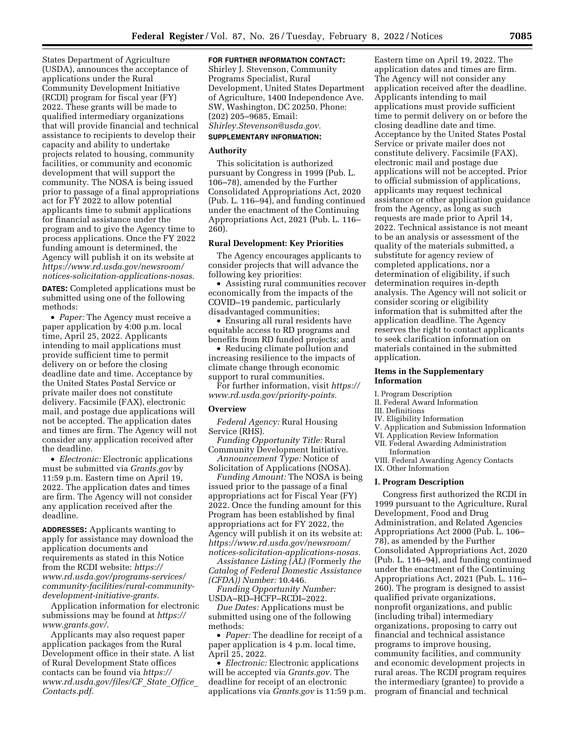States Department of Agriculture (USDA), announces the acceptance of applications under the Rural Community Development Initiative (RCDI) program for fiscal year (FY) 2022. These grants will be made to qualified intermediary organizations that will provide financial and technical assistance to recipients to develop their capacity and ability to undertake projects related to housing, community facilities, or community and economic development that will support the community. The NOSA is being issued prior to passage of a final appropriations act for FY 2022 to allow potential applicants time to submit applications for financial assistance under the program and to give the Agency time to process applications. Once the FY 2022 funding amount is determined, the Agency will publish it on its website at *[https://www.rd.usda.gov/newsroom/](https://www.rd.usda.gov/newsroom/notices-solicitation-applications-nosas) [notices-solicitation-applications-nosas.](https://www.rd.usda.gov/newsroom/notices-solicitation-applications-nosas)* 

**DATES:** Completed applications must be submitted using one of the following methods:

• *Paper:* The Agency must receive a paper application by 4:00 p.m. local time, April 25, 2022. Applicants intending to mail applications must provide sufficient time to permit delivery on or before the closing deadline date and time. Acceptance by the United States Postal Service or private mailer does not constitute delivery. Facsimile (FAX), electronic mail, and postage due applications will not be accepted. The application dates and times are firm. The Agency will not consider any application received after the deadline.

• *Electronic:* Electronic applications must be submitted via *Grants.gov* by 11:59 p.m. Eastern time on April 19, 2022. The application dates and times are firm. The Agency will not consider any application received after the deadline.

**ADDRESSES:** Applicants wanting to apply for assistance may download the application documents and requirements as stated in this Notice from the RCDI website: *[https://](https://www.rd.usda.gov/programs-services/community-facilities/rural-community-development-initiative-grants) [www.rd.usda.gov/programs-services/](https://www.rd.usda.gov/programs-services/community-facilities/rural-community-development-initiative-grants)  [community-facilities/rural-community](https://www.rd.usda.gov/programs-services/community-facilities/rural-community-development-initiative-grants)[development-initiative-grants.](https://www.rd.usda.gov/programs-services/community-facilities/rural-community-development-initiative-grants)* 

Application information for electronic submissions may be found at *[https://](https://www.grants.gov/) [www.grants.gov/](https://www.grants.gov/)*.

Applicants may also request paper application packages from the Rural Development office in their state. A list of Rural Development State offices contacts can be found via *[https://](https://www.rd.usda.gov/files/CF_State_Office_Contacts.pdf) [www.rd.usda.gov/files/CF](https://www.rd.usda.gov/files/CF_State_Office_Contacts.pdf)*\_*State*\_*Office*\_ *[Contacts.pdf.](https://www.rd.usda.gov/files/CF_State_Office_Contacts.pdf)* 

## **FOR FURTHER INFORMATION CONTACT:**

Shirley J. Stevenson, Community Programs Specialist, Rural Development, United States Department of Agriculture, 1400 Independence Ave. SW, Washington, DC 20250, Phone: (202) 205–9685, Email: *[Shirley.Stevenson@usda.gov.](mailto:Shirley.Stevenson@usda.gov)* 

#### **SUPPLEMENTARY INFORMATION:**

## **Authority**

This solicitation is authorized pursuant by Congress in 1999 (Pub. L. 106–78), amended by the Further Consolidated Appropriations Act, 2020 (Pub. L. 116–94), and funding continued under the enactment of the Continuing Appropriations Act, 2021 (Pub. L. 116– 260).

## **Rural Development: Key Priorities**

The Agency encourages applicants to consider projects that will advance the following key priorities:

• Assisting rural communities recover economically from the impacts of the COVID–19 pandemic, particularly disadvantaged communities;

• Ensuring all rural residents have equitable access to RD programs and benefits from RD funded projects; and

• Reducing climate pollution and increasing resilience to the impacts of climate change through economic support to rural communities.

For further information, visit *[https://](https://www.rd.usda.gov/priority-points) [www.rd.usda.gov/priority-points.](https://www.rd.usda.gov/priority-points)* 

#### **Overview**

*Federal Agency:* Rural Housing Service (RHS).

*Funding Opportunity Title:* Rural Community Development Initiative. *Announcement Type:* Notice of

Solicitation of Applications (NOSA).

*Funding Amount:* The NOSA is being issued prior to the passage of a final appropriations act for Fiscal Year (FY) 2022. Once the funding amount for this Program has been established by final appropriations act for FY 2022, the Agency will publish it on its website at: *[https://www.rd.usda.gov/newsroom/](https://www.rd.usda.gov/newsroom/notices-solicitation-applications-nosas) [notices-solicitation-applications-nosas.](https://www.rd.usda.gov/newsroom/notices-solicitation-applications-nosas)* 

*Assistance Listing (AL) (*Formerly *the Catalog of Federal Domestic Assistance (CFDA)) Number:* 10.446.

*Funding Opportunity Number:*  USDA–RD–HCFP–RCDI–2022.

*Due Dates:* Applications must be submitted using one of the following methods:

• *Paper:* The deadline for receipt of a paper application is 4 p.m. local time, April 25, 2022.

• *Electronic:* Electronic applications will be accepted via *Grants.gov*. The deadline for receipt of an electronic applications via *Grants.gov* is 11:59 p.m.

Eastern time on April 19, 2022. The application dates and times are firm. The Agency will not consider any application received after the deadline. Applicants intending to mail applications must provide sufficient time to permit delivery on or before the closing deadline date and time. Acceptance by the United States Postal Service or private mailer does not constitute delivery. Facsimile (FAX), electronic mail and postage due applications will not be accepted. Prior to official submission of applications, applicants may request technical assistance or other application guidance from the Agency, as long as such requests are made prior to April 14, 2022. Technical assistance is not meant to be an analysis or assessment of the quality of the materials submitted, a substitute for agency review of completed applications, nor a determination of eligibility, if such determination requires in-depth analysis. The Agency will not solicit or consider scoring or eligibility information that is submitted after the application deadline. The Agency reserves the right to contact applicants to seek clarification information on materials contained in the submitted application.

## **Items in the Supplementary Information**

I. Program Description

- II. Federal Award Information
- III. Definitions
- IV. Eligibility Information
- V. Application and Submission Information
- VI. Application Review Information
- VII. Federal Awarding Administration Information

VIII. Federal Awarding Agency Contacts IX. Other Information

#### **I. Program Description**

Congress first authorized the RCDI in 1999 pursuant to the Agriculture, Rural Development, Food and Drug Administration, and Related Agencies Appropriations Act 2000 (Pub. L. 106– 78), as amended by the Further Consolidated Appropriations Act, 2020 (Pub. L. 116–94), and funding continued under the enactment of the Continuing Appropriations Act, 2021 (Pub. L. 116– 260). The program is designed to assist qualified private organizations, nonprofit organizations, and public (including tribal) intermediary organizations, proposing to carry out financial and technical assistance programs to improve housing, community facilities, and community and economic development projects in rural areas. The RCDI program requires the intermediary (grantee) to provide a program of financial and technical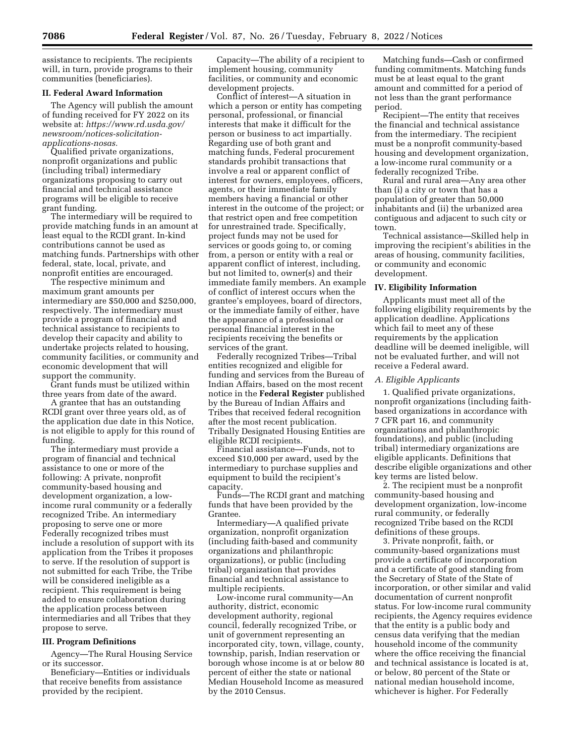assistance to recipients. The recipients will, in turn, provide programs to their communities (beneficiaries).

## **II. Federal Award Information**

The Agency will publish the amount of funding received for FY 2022 on its website at: *[https://www.rd.usda.gov/](https://www.rd.usda.gov/newsroom/notices-solicitation-applications-nosas)  [newsroom/notices-solicitation](https://www.rd.usda.gov/newsroom/notices-solicitation-applications-nosas)[applications-nosas.](https://www.rd.usda.gov/newsroom/notices-solicitation-applications-nosas)* 

Qualified private organizations, nonprofit organizations and public (including tribal) intermediary organizations proposing to carry out financial and technical assistance programs will be eligible to receive grant funding.

The intermediary will be required to provide matching funds in an amount at least equal to the RCDI grant. In-kind contributions cannot be used as matching funds. Partnerships with other federal, state, local, private, and nonprofit entities are encouraged.

The respective minimum and maximum grant amounts per intermediary are \$50,000 and \$250,000, respectively. The intermediary must provide a program of financial and technical assistance to recipients to develop their capacity and ability to undertake projects related to housing, community facilities, or community and economic development that will support the community.

Grant funds must be utilized within three years from date of the award.

A grantee that has an outstanding RCDI grant over three years old, as of the application due date in this Notice, is not eligible to apply for this round of funding.

The intermediary must provide a program of financial and technical assistance to one or more of the following: A private, nonprofit community-based housing and development organization, a lowincome rural community or a federally recognized Tribe. An intermediary proposing to serve one or more Federally recognized tribes must include a resolution of support with its application from the Tribes it proposes to serve. If the resolution of support is not submitted for each Tribe, the Tribe will be considered ineligible as a recipient. This requirement is being added to ensure collaboration during the application process between intermediaries and all Tribes that they propose to serve.

## **III. Program Definitions**

Agency—The Rural Housing Service or its successor.

Beneficiary—Entities or individuals that receive benefits from assistance provided by the recipient.

Capacity—The ability of a recipient to implement housing, community facilities, or community and economic development projects.

Conflict of interest—A situation in which a person or entity has competing personal, professional, or financial interests that make it difficult for the person or business to act impartially. Regarding use of both grant and matching funds, Federal procurement standards prohibit transactions that involve a real or apparent conflict of interest for owners, employees, officers, agents, or their immediate family members having a financial or other interest in the outcome of the project; or that restrict open and free competition for unrestrained trade. Specifically, project funds may not be used for services or goods going to, or coming from, a person or entity with a real or apparent conflict of interest, including, but not limited to, owner(s) and their immediate family members. An example of conflict of interest occurs when the grantee's employees, board of directors, or the immediate family of either, have the appearance of a professional or personal financial interest in the recipients receiving the benefits or services of the grant.

Federally recognized Tribes—Tribal entities recognized and eligible for funding and services from the Bureau of Indian Affairs, based on the most recent notice in the **Federal Register** published by the Bureau of Indian Affairs and Tribes that received federal recognition after the most recent publication. Tribally Designated Housing Entities are eligible RCDI recipients.

Financial assistance—Funds, not to exceed \$10,000 per award, used by the intermediary to purchase supplies and equipment to build the recipient's capacity.

Funds—The RCDI grant and matching funds that have been provided by the Grantee.

Intermediary—A qualified private organization, nonprofit organization (including faith-based and community organizations and philanthropic organizations), or public (including tribal) organization that provides financial and technical assistance to multiple recipients.

Low-income rural community—An authority, district, economic development authority, regional council, federally recognized Tribe, or unit of government representing an incorporated city, town, village, county, township, parish, Indian reservation or borough whose income is at or below 80 percent of either the state or national Median Household Income as measured by the 2010 Census.

Matching funds—Cash or confirmed funding commitments. Matching funds must be at least equal to the grant amount and committed for a period of not less than the grant performance period.

Recipient—The entity that receives the financial and technical assistance from the intermediary. The recipient must be a nonprofit community-based housing and development organization, a low-income rural community or a federally recognized Tribe.

Rural and rural area—Any area other than (i) a city or town that has a population of greater than 50,000 inhabitants and (ii) the urbanized area contiguous and adjacent to such city or town.

Technical assistance—Skilled help in improving the recipient's abilities in the areas of housing, community facilities, or community and economic development.

## **IV. Eligibility Information**

Applicants must meet all of the following eligibility requirements by the application deadline. Applications which fail to meet any of these requirements by the application deadline will be deemed ineligible, will not be evaluated further, and will not receive a Federal award.

## *A. Eligible Applicants*

1. Qualified private organizations, nonprofit organizations (including faithbased organizations in accordance with 7 CFR part 16, and community organizations and philanthropic foundations), and public (including tribal) intermediary organizations are eligible applicants. Definitions that describe eligible organizations and other key terms are listed below.

2. The recipient must be a nonprofit community-based housing and development organization, low-income rural community, or federally recognized Tribe based on the RCDI definitions of these groups.

3. Private nonprofit, faith, or community-based organizations must provide a certificate of incorporation and a certificate of good standing from the Secretary of State of the State of incorporation, or other similar and valid documentation of current nonprofit status. For low-income rural community recipients, the Agency requires evidence that the entity is a public body and census data verifying that the median household income of the community where the office receiving the financial and technical assistance is located is at, or below, 80 percent of the State or national median household income, whichever is higher. For Federally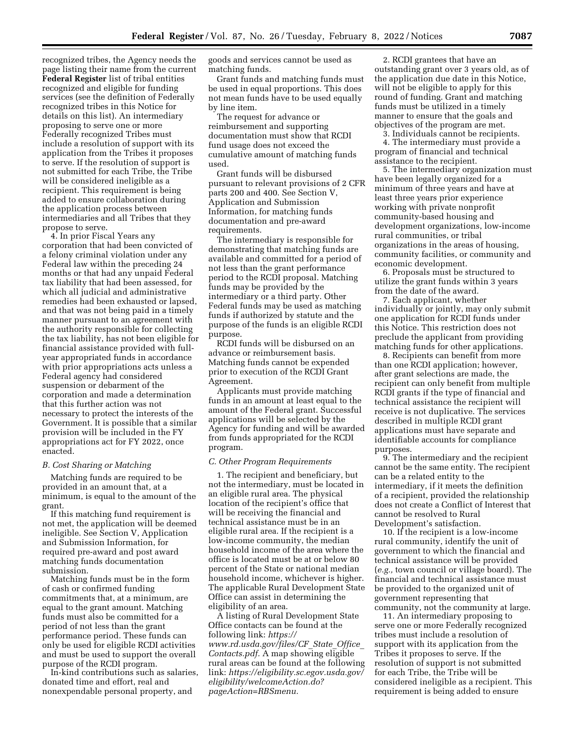recognized tribes, the Agency needs the page listing their name from the current **Federal Register** list of tribal entities recognized and eligible for funding services (see the definition of Federally recognized tribes in this Notice for details on this list). An intermediary proposing to serve one or more Federally recognized Tribes must include a resolution of support with its application from the Tribes it proposes to serve. If the resolution of support is not submitted for each Tribe, the Tribe will be considered ineligible as a recipient. This requirement is being added to ensure collaboration during the application process between intermediaries and all Tribes that they propose to serve.

4. In prior Fiscal Years any corporation that had been convicted of a felony criminal violation under any Federal law within the preceding 24 months or that had any unpaid Federal tax liability that had been assessed, for which all judicial and administrative remedies had been exhausted or lapsed, and that was not being paid in a timely manner pursuant to an agreement with the authority responsible for collecting the tax liability, has not been eligible for financial assistance provided with fullyear appropriated funds in accordance with prior appropriations acts unless a Federal agency had considered suspension or debarment of the corporation and made a determination that this further action was not necessary to protect the interests of the Government. It is possible that a similar provision will be included in the FY appropriations act for FY 2022, once enacted.

### *B. Cost Sharing or Matching*

Matching funds are required to be provided in an amount that, at a minimum, is equal to the amount of the grant.

If this matching fund requirement is not met, the application will be deemed ineligible. See Section V, Application and Submission Information, for required pre-award and post award matching funds documentation submission.

Matching funds must be in the form of cash or confirmed funding commitments that, at a minimum, are equal to the grant amount. Matching funds must also be committed for a period of not less than the grant performance period. These funds can only be used for eligible RCDI activities and must be used to support the overall purpose of the RCDI program.

In-kind contributions such as salaries, donated time and effort, real and nonexpendable personal property, and

goods and services cannot be used as matching funds.

Grant funds and matching funds must be used in equal proportions. This does not mean funds have to be used equally by line item.

The request for advance or reimbursement and supporting documentation must show that RCDI fund usage does not exceed the cumulative amount of matching funds used.

Grant funds will be disbursed pursuant to relevant provisions of 2 CFR parts 200 and 400. See Section V, Application and Submission Information, for matching funds documentation and pre-award requirements.

The intermediary is responsible for demonstrating that matching funds are available and committed for a period of not less than the grant performance period to the RCDI proposal. Matching funds may be provided by the intermediary or a third party. Other Federal funds may be used as matching funds if authorized by statute and the purpose of the funds is an eligible RCDI purpose.

RCDI funds will be disbursed on an advance or reimbursement basis. Matching funds cannot be expended prior to execution of the RCDI Grant Agreement.

Applicants must provide matching funds in an amount at least equal to the amount of the Federal grant. Successful applications will be selected by the Agency for funding and will be awarded from funds appropriated for the RCDI program.

#### *C. Other Program Requirements*

1. The recipient and beneficiary, but not the intermediary, must be located in an eligible rural area. The physical location of the recipient's office that will be receiving the financial and technical assistance must be in an eligible rural area. If the recipient is a low-income community, the median household income of the area where the office is located must be at or below 80 percent of the State or national median household income, whichever is higher. The applicable Rural Development State Office can assist in determining the eligibility of an area.

A listing of Rural Development State Office contacts can be found at the following link: *[https://](https://www.rd.usda.gov/files/CF_State_Office_Contacts.pdf) [www.rd.usda.gov/files/CF](https://www.rd.usda.gov/files/CF_State_Office_Contacts.pdf)*\_*State*\_*Office*\_ *[Contacts.pdf.](https://www.rd.usda.gov/files/CF_State_Office_Contacts.pdf)* A map showing eligible rural areas can be found at the following link: *[https://eligibility.sc.egov.usda.gov/](https://eligibility.sc.egov.usda.gov/eligibility/welcomeAction.do?pageAction=RBSmenu)  [eligibility/welcomeAction.do?](https://eligibility.sc.egov.usda.gov/eligibility/welcomeAction.do?pageAction=RBSmenu) [pageAction=RBSmenu.](https://eligibility.sc.egov.usda.gov/eligibility/welcomeAction.do?pageAction=RBSmenu)* 

2. RCDI grantees that have an outstanding grant over 3 years old, as of the application due date in this Notice, will not be eligible to apply for this round of funding. Grant and matching funds must be utilized in a timely manner to ensure that the goals and objectives of the program are met.

3. Individuals cannot be recipients. 4. The intermediary must provide a program of financial and technical assistance to the recipient.

5. The intermediary organization must have been legally organized for a minimum of three years and have at least three years prior experience working with private nonprofit community-based housing and development organizations, low-income rural communities, or tribal organizations in the areas of housing, community facilities, or community and economic development.

6. Proposals must be structured to utilize the grant funds within 3 years from the date of the award.

7. Each applicant, whether individually or jointly, may only submit one application for RCDI funds under this Notice. This restriction does not preclude the applicant from providing matching funds for other applications.

8. Recipients can benefit from more than one RCDI application; however, after grant selections are made, the recipient can only benefit from multiple RCDI grants if the type of financial and technical assistance the recipient will receive is not duplicative. The services described in multiple RCDI grant applications must have separate and identifiable accounts for compliance purposes.

9. The intermediary and the recipient cannot be the same entity. The recipient can be a related entity to the intermediary, if it meets the definition of a recipient, provided the relationship does not create a Conflict of Interest that cannot be resolved to Rural Development's satisfaction.

10. If the recipient is a low-income rural community, identify the unit of government to which the financial and technical assistance will be provided (*e.g.,* town council or village board). The financial and technical assistance must be provided to the organized unit of government representing that community, not the community at large.

11. An intermediary proposing to serve one or more Federally recognized tribes must include a resolution of support with its application from the Tribes it proposes to serve. If the resolution of support is not submitted for each Tribe, the Tribe will be considered ineligible as a recipient. This requirement is being added to ensure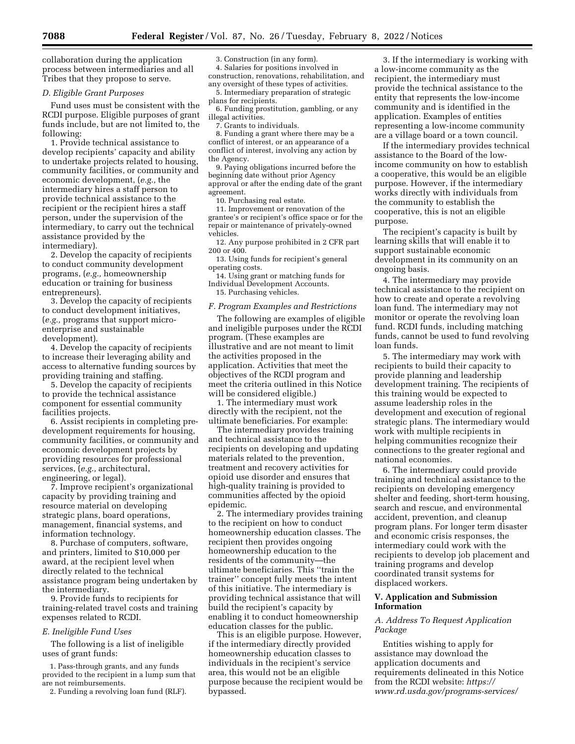collaboration during the application process between intermediaries and all Tribes that they propose to serve.

#### *D. Eligible Grant Purposes*

Fund uses must be consistent with the RCDI purpose. Eligible purposes of grant funds include, but are not limited to, the following:

1. Provide technical assistance to develop recipients' capacity and ability to undertake projects related to housing, community facilities, or community and economic development, (*e.g.,* the intermediary hires a staff person to provide technical assistance to the recipient or the recipient hires a staff person, under the supervision of the intermediary, to carry out the technical assistance provided by the intermediary).

2. Develop the capacity of recipients to conduct community development programs, (*e.g.,* homeownership education or training for business entrepreneurs).

3. Develop the capacity of recipients to conduct development initiatives, (*e.g.,* programs that support microenterprise and sustainable development).

4. Develop the capacity of recipients to increase their leveraging ability and access to alternative funding sources by providing training and staffing.

5. Develop the capacity of recipients to provide the technical assistance component for essential community facilities projects.

6. Assist recipients in completing predevelopment requirements for housing, community facilities, or community and economic development projects by providing resources for professional services, (*e.g.,* architectural, engineering, or legal).

7. Improve recipient's organizational capacity by providing training and resource material on developing strategic plans, board operations, management, financial systems, and information technology.

8. Purchase of computers, software, and printers, limited to \$10,000 per award, at the recipient level when directly related to the technical assistance program being undertaken by the intermediary.

9. Provide funds to recipients for training-related travel costs and training expenses related to RCDI.

#### *E. Ineligible Fund Uses*

The following is a list of ineligible uses of grant funds:

1. Pass-through grants, and any funds provided to the recipient in a lump sum that are not reimbursements.

2. Funding a revolving loan fund (RLF).

3. Construction (in any form). 4. Salaries for positions involved in construction, renovations, rehabilitation, and

any oversight of these types of activities.

5. Intermediary preparation of strategic plans for recipients.

6. Funding prostitution, gambling, or any illegal activities.

7. Grants to individuals.

8. Funding a grant where there may be a conflict of interest, or an appearance of a conflict of interest, involving any action by the Agency.

9. Paying obligations incurred before the beginning date without prior Agency approval or after the ending date of the grant agreement.

10. Purchasing real estate.

11. Improvement or renovation of the grantee's or recipient's office space or for the repair or maintenance of privately-owned vehicles.

12. Any purpose prohibited in 2 CFR part 200 or 400.

13. Using funds for recipient's general operating costs.

14. Using grant or matching funds for Individual Development Accounts.

15. Purchasing vehicles.

#### *F. Program Examples and Restrictions*

The following are examples of eligible and ineligible purposes under the RCDI program. (These examples are illustrative and are not meant to limit the activities proposed in the application. Activities that meet the objectives of the RCDI program and meet the criteria outlined in this Notice will be considered eligible.)

1. The intermediary must work directly with the recipient, not the ultimate beneficiaries. For example:

The intermediary provides training and technical assistance to the recipients on developing and updating materials related to the prevention, treatment and recovery activities for opioid use disorder and ensures that high-quality training is provided to communities affected by the opioid epidemic.

2. The intermediary provides training to the recipient on how to conduct homeownership education classes. The recipient then provides ongoing homeownership education to the residents of the community—the ultimate beneficiaries. This ''train the trainer'' concept fully meets the intent of this initiative. The intermediary is providing technical assistance that will build the recipient's capacity by enabling it to conduct homeownership education classes for the public.

This is an eligible purpose. However, if the intermediary directly provided homeownership education classes to individuals in the recipient's service area, this would not be an eligible purpose because the recipient would be bypassed.

3. If the intermediary is working with a low-income community as the recipient, the intermediary must provide the technical assistance to the entity that represents the low-income community and is identified in the application. Examples of entities representing a low-income community are a village board or a town council.

If the intermediary provides technical assistance to the Board of the lowincome community on how to establish a cooperative, this would be an eligible purpose. However, if the intermediary works directly with individuals from the community to establish the cooperative, this is not an eligible purpose.

The recipient's capacity is built by learning skills that will enable it to support sustainable economic development in its community on an ongoing basis.

4. The intermediary may provide technical assistance to the recipient on how to create and operate a revolving loan fund. The intermediary may not monitor or operate the revolving loan fund. RCDI funds, including matching funds, cannot be used to fund revolving loan funds.

5. The intermediary may work with recipients to build their capacity to provide planning and leadership development training. The recipients of this training would be expected to assume leadership roles in the development and execution of regional strategic plans. The intermediary would work with multiple recipients in helping communities recognize their connections to the greater regional and national economies.

6. The intermediary could provide training and technical assistance to the recipients on developing emergency shelter and feeding, short-term housing, search and rescue, and environmental accident, prevention, and cleanup program plans. For longer term disaster and economic crisis responses, the intermediary could work with the recipients to develop job placement and training programs and develop coordinated transit systems for displaced workers.

## **V. Application and Submission Information**

## *A. Address To Request Application Package*

Entities wishing to apply for assistance may download the application documents and requirements delineated in this Notice from the RCDI website: *[https://](https://www.rd.usda.gov/programs-services/community-facilities/rural-community-development-initiative-grants) [www.rd.usda.gov/programs-services/](https://www.rd.usda.gov/programs-services/community-facilities/rural-community-development-initiative-grants)*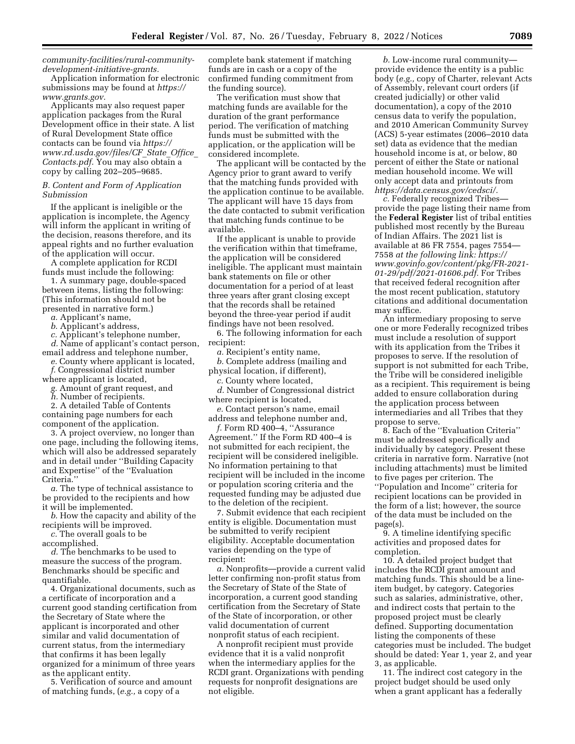*[community-facilities/rural-community](https://www.rd.usda.gov/programs-services/community-facilities/rural-community-development-initiative-grants)[development-initiative-grants.](https://www.rd.usda.gov/programs-services/community-facilities/rural-community-development-initiative-grants)* 

Application information for electronic submissions may be found at *[https://](https://www.grants.gov) [www.grants.gov.](https://www.grants.gov)* 

Applicants may also request paper application packages from the Rural Development office in their state. A list of Rural Development State office contacts can be found via *[https://](https://www.rd.usda.gov/files/CF_State_Office_Contacts.pdf) [www.rd.usda.gov/files/CF](https://www.rd.usda.gov/files/CF_State_Office_Contacts.pdf)*\_*State*\_*Office*\_ *[Contacts.pdf.](https://www.rd.usda.gov/files/CF_State_Office_Contacts.pdf)* You may also obtain a copy by calling 202–205–9685.

## *B. Content and Form of Application Submission*

If the applicant is ineligible or the application is incomplete, the Agency will inform the applicant in writing of the decision, reasons therefore, and its appeal rights and no further evaluation of the application will occur.

A complete application for RCDI funds must include the following:

1. A summary page, double-spaced between items, listing the following: (This information should not be presented in narrative form.)

*a.* Applicant's name,

*b.* Applicant's address,

*c.* Applicant's telephone number,

*d.* Name of applicant's contact person, email address and telephone number,

*e.* County where applicant is located, *f.* Congressional district number

where applicant is located,

*g.* Amount of grant request, and *h.* Number of recipients.

2. A detailed Table of Contents containing page numbers for each component of the application.

3. A project overview, no longer than one page, including the following items, which will also be addressed separately and in detail under ''Building Capacity and Expertise'' of the ''Evaluation Criteria.''

*a.* The type of technical assistance to be provided to the recipients and how it will be implemented.

*b.* How the capacity and ability of the recipients will be improved.

*c.* The overall goals to be

accomplished.

*d.* The benchmarks to be used to measure the success of the program. Benchmarks should be specific and quantifiable.

4. Organizational documents, such as a certificate of incorporation and a current good standing certification from the Secretary of State where the applicant is incorporated and other similar and valid documentation of current status, from the intermediary that confirms it has been legally organized for a minimum of three years as the applicant entity.

5. Verification of source and amount of matching funds, (*e.g.,* a copy of a

complete bank statement if matching funds are in cash or a copy of the confirmed funding commitment from the funding source).

The verification must show that matching funds are available for the duration of the grant performance period. The verification of matching funds must be submitted with the application, or the application will be considered incomplete.

The applicant will be contacted by the Agency prior to grant award to verify that the matching funds provided with the application continue to be available. The applicant will have 15 days from the date contacted to submit verification that matching funds continue to be available.

If the applicant is unable to provide the verification within that timeframe, the application will be considered ineligible. The applicant must maintain bank statements on file or other documentation for a period of at least three years after grant closing except that the records shall be retained beyond the three-year period if audit findings have not been resolved.

6. The following information for each recipient:

*a.* Recipient's entity name,

*b.* Complete address (mailing and physical location, if different),

*c.* County where located,

*d.* Number of Congressional district where recipient is located,

*e.* Contact person's name, email address and telephone number and,

*f.* Form RD 400–4, ''Assurance Agreement.'' If the Form RD 400–4 is not submitted for each recipient, the recipient will be considered ineligible. No information pertaining to that recipient will be included in the income or population scoring criteria and the requested funding may be adjusted due to the deletion of the recipient.

7. Submit evidence that each recipient entity is eligible. Documentation must be submitted to verify recipient eligibility. Acceptable documentation varies depending on the type of recipient:

*a.* Nonprofits—provide a current valid letter confirming non-profit status from the Secretary of State of the State of incorporation, a current good standing certification from the Secretary of State of the State of incorporation, or other valid documentation of current nonprofit status of each recipient.

A nonprofit recipient must provide evidence that it is a valid nonprofit when the intermediary applies for the RCDI grant. Organizations with pending requests for nonprofit designations are not eligible.

*b.* Low-income rural community provide evidence the entity is a public body (*e.g.,* copy of Charter, relevant Acts of Assembly, relevant court orders (if created judicially) or other valid documentation), a copy of the 2010 census data to verify the population, and 2010 American Community Survey (ACS) 5-year estimates (2006–2010 data set) data as evidence that the median household income is at, or below, 80 percent of either the State or national median household income. We will only accept data and printouts from *[https://data.census.gov/cedsci/.](https://data.census.gov/cedsci/)* 

*c.* Federally recognized Tribes provide the page listing their name from the **Federal Register** list of tribal entities published most recently by the Bureau of Indian Affairs. The 2021 list is available at 86 FR 7554, pages 7554— 7558 *at the following link: [https://](https://www.govinfo.gov/content/pkg/FR-2021-01-29/pdf/2021-01606.pdf) [www.govinfo.gov/content/pkg/FR-2021-](https://www.govinfo.gov/content/pkg/FR-2021-01-29/pdf/2021-01606.pdf) [01-29/pdf/2021-01606.pdf.](https://www.govinfo.gov/content/pkg/FR-2021-01-29/pdf/2021-01606.pdf)* For Tribes that received federal recognition after the most recent publication, statutory citations and additional documentation may suffice.

An intermediary proposing to serve one or more Federally recognized tribes must include a resolution of support with its application from the Tribes it proposes to serve. If the resolution of support is not submitted for each Tribe, the Tribe will be considered ineligible as a recipient. This requirement is being added to ensure collaboration during the application process between intermediaries and all Tribes that they propose to serve.

8. Each of the ''Evaluation Criteria'' must be addressed specifically and individually by category. Present these criteria in narrative form. Narrative (not including attachments) must be limited to five pages per criterion. The ''Population and Income'' criteria for recipient locations can be provided in the form of a list; however, the source of the data must be included on the page(s).

9. A timeline identifying specific activities and proposed dates for completion.

10. A detailed project budget that includes the RCDI grant amount and matching funds. This should be a lineitem budget, by category. Categories such as salaries, administrative, other, and indirect costs that pertain to the proposed project must be clearly defined. Supporting documentation listing the components of these categories must be included. The budget should be dated: Year 1, year 2, and year 3, as applicable.

11. The indirect cost category in the project budget should be used only when a grant applicant has a federally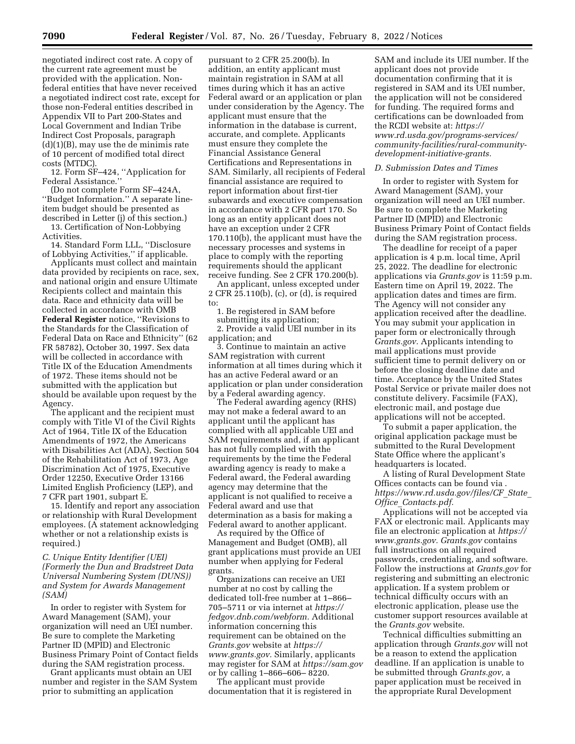negotiated indirect cost rate. A copy of the current rate agreement must be provided with the application. Nonfederal entities that have never received a negotiated indirect cost rate, except for those non-Federal entities described in Appendix VII to Part 200-States and Local Government and Indian Tribe Indirect Cost Proposals, paragraph (d)(1)(B), may use the de minimis rate of 10 percent of modified total direct costs (MTDC).

12. Form SF–424, ''Application for Federal Assistance.''

(Do not complete Form SF–424A, ''Budget Information.'' A separate lineitem budget should be presented as described in Letter (j) of this section.)

13. Certification of Non-Lobbying **Activities** 

14. Standard Form LLL, ''Disclosure of Lobbying Activities,'' if applicable.

Applicants must collect and maintain data provided by recipients on race, sex, and national origin and ensure Ultimate Recipients collect and maintain this data. Race and ethnicity data will be collected in accordance with OMB **Federal Register** notice, ''Revisions to the Standards for the Classification of Federal Data on Race and Ethnicity'' (62 FR 58782), October 30, 1997. Sex data will be collected in accordance with Title IX of the Education Amendments of 1972. These items should not be submitted with the application but should be available upon request by the Agency.

The applicant and the recipient must comply with Title VI of the Civil Rights Act of 1964, Title IX of the Education Amendments of 1972, the Americans with Disabilities Act (ADA), Section 504 of the Rehabilitation Act of 1973, Age Discrimination Act of 1975, Executive Order 12250, Executive Order 13166 Limited English Proficiency (LEP), and 7 CFR part 1901, subpart E.

15. Identify and report any association or relationship with Rural Development employees. (A statement acknowledging whether or not a relationship exists is required.)

*C. Unique Entity Identifier (UEI) (Formerly the Dun and Bradstreet Data Universal Numbering System (DUNS)) and System for Awards Management (SAM)* 

In order to register with System for Award Management (SAM), your organization will need an UEI number. Be sure to complete the Marketing Partner ID (MPID) and Electronic Business Primary Point of Contact fields during the SAM registration process.

Grant applicants must obtain an UEI number and register in the SAM System prior to submitting an application

pursuant to 2 CFR 25.200(b). In addition, an entity applicant must maintain registration in SAM at all times during which it has an active Federal award or an application or plan under consideration by the Agency. The applicant must ensure that the information in the database is current, accurate, and complete. Applicants must ensure they complete the Financial Assistance General Certifications and Representations in SAM. Similarly, all recipients of Federal financial assistance are required to report information about first-tier subawards and executive compensation in accordance with 2 CFR part 170. So long as an entity applicant does not have an exception under 2 CFR 170.110(b), the applicant must have the necessary processes and systems in place to comply with the reporting requirements should the applicant receive funding. See 2 CFR 170.200(b).

An applicant, unless excepted under 2 CFR 25.110(b), (c), or (d), is required to:

1. Be registered in SAM before submitting its application;

2. Provide a valid UEI number in its application; and

3. Continue to maintain an active SAM registration with current information at all times during which it has an active Federal award or an application or plan under consideration by a Federal awarding agency.

The Federal awarding agency (RHS) may not make a federal award to an applicant until the applicant has complied with all applicable UEI and SAM requirements and, if an applicant has not fully complied with the requirements by the time the Federal awarding agency is ready to make a Federal award, the Federal awarding agency may determine that the applicant is not qualified to receive a Federal award and use that determination as a basis for making a Federal award to another applicant.

As required by the Office of Management and Budget (OMB), all grant applications must provide an UEI number when applying for Federal grants.

Organizations can receive an UEI number at no cost by calling the dedicated toll-free number at 1–866– 705–5711 or via internet at *[https://](https://fedgov.dnb.com/webform) [fedgov.dnb.com/webform.](https://fedgov.dnb.com/webform)* Additional information concerning this requirement can be obtained on the *Grants.gov* website at *[https://](https://www.grants.gov) [www.grants.gov.](https://www.grants.gov)* Similarly, applicants may register for SAM at *<https://sam.gov>*  or by calling 1–866–606– 8220.

The applicant must provide documentation that it is registered in

SAM and include its UEI number. If the applicant does not provide documentation confirming that it is registered in SAM and its UEI number, the application will not be considered for funding. The required forms and certifications can be downloaded from the RCDI website at: *[https://](https://www.rd.usda.gov/programs-services/community-facilities/rural-community-development-initiative-grants) [www.rd.usda.gov/programs-services/](https://www.rd.usda.gov/programs-services/community-facilities/rural-community-development-initiative-grants)  [community-facilities/rural-community](https://www.rd.usda.gov/programs-services/community-facilities/rural-community-development-initiative-grants)[development-initiative-grants.](https://www.rd.usda.gov/programs-services/community-facilities/rural-community-development-initiative-grants)* 

#### *D. Submission Dates and Times*

In order to register with System for Award Management (SAM), your organization will need an UEI number. Be sure to complete the Marketing Partner ID (MPID) and Electronic Business Primary Point of Contact fields during the SAM registration process.

The deadline for receipt of a paper application is 4 p.m. local time, April 25, 2022. The deadline for electronic applications via *Grants.gov* is 11:59 p.m. Eastern time on April 19, 2022. The application dates and times are firm. The Agency will not consider any application received after the deadline. You may submit your application in paper form or electronically through *Grants.gov.* Applicants intending to mail applications must provide sufficient time to permit delivery on or before the closing deadline date and time. Acceptance by the United States Postal Service or private mailer does not constitute delivery. Facsimile (FAX), electronic mail, and postage due applications will not be accepted.

To submit a paper application, the original application package must be submitted to the Rural Development State Office where the applicant's headquarters is located.

A listing of Rural Development State Offices contacts can be found via . *[https://www.rd.usda.gov/files/CF](https://www.rd.usda.gov/files/CF_State_Office_Contacts.pdf)*\_*State*\_ *Office*\_*[Contacts.pdf.](https://www.rd.usda.gov/files/CF_State_Office_Contacts.pdf)* 

Applications will not be accepted via FAX or electronic mail. Applicants may file an electronic application at *[https://](https://www.grants.gov)  [www.grants.gov.](https://www.grants.gov) Grants.gov* contains full instructions on all required passwords, credentialing, and software. Follow the instructions at *Grants.gov* for registering and submitting an electronic application. If a system problem or technical difficulty occurs with an electronic application, please use the customer support resources available at the *Grants.gov* website.

Technical difficulties submitting an application through *Grants.gov* will not be a reason to extend the application deadline. If an application is unable to be submitted through *Grants.gov,* a paper application must be received in the appropriate Rural Development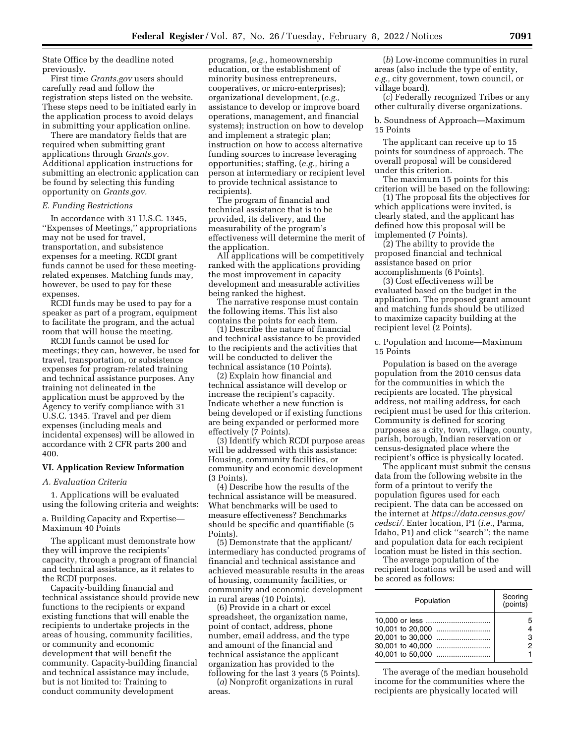State Office by the deadline noted previously.

First time *Grants.gov* users should carefully read and follow the registration steps listed on the website. These steps need to be initiated early in the application process to avoid delays in submitting your application online.

There are mandatory fields that are required when submitting grant applications through *Grants.gov.*  Additional application instructions for submitting an electronic application can be found by selecting this funding opportunity on *Grants.gov.* 

## *E. Funding Restrictions*

In accordance with 31 U.S.C. 1345, ''Expenses of Meetings,'' appropriations may not be used for travel, transportation, and subsistence expenses for a meeting. RCDI grant funds cannot be used for these meetingrelated expenses. Matching funds may, however, be used to pay for these expenses.

RCDI funds may be used to pay for a speaker as part of a program, equipment to facilitate the program, and the actual room that will house the meeting.

RCDI funds cannot be used for meetings; they can, however, be used for travel, transportation, or subsistence expenses for program-related training and technical assistance purposes. Any training not delineated in the application must be approved by the Agency to verify compliance with 31 U.S.C. 1345. Travel and per diem expenses (including meals and incidental expenses) will be allowed in accordance with 2 CFR parts 200 and 400.

## **VI. Application Review Information**

#### *A. Evaluation Criteria*

1. Applications will be evaluated using the following criteria and weights:

a. Building Capacity and Expertise— Maximum 40 Points

The applicant must demonstrate how they will improve the recipients' capacity, through a program of financial and technical assistance, as it relates to the RCDI purposes.

Capacity-building financial and technical assistance should provide new functions to the recipients or expand existing functions that will enable the recipients to undertake projects in the areas of housing, community facilities, or community and economic development that will benefit the community. Capacity-building financial and technical assistance may include, but is not limited to: Training to conduct community development

programs, (*e.g.,* homeownership education, or the establishment of minority business entrepreneurs, cooperatives, or micro-enterprises); organizational development, (*e.g.,*  assistance to develop or improve board operations, management, and financial systems); instruction on how to develop and implement a strategic plan; instruction on how to access alternative funding sources to increase leveraging opportunities; staffing, (*e.g.,* hiring a person at intermediary or recipient level to provide technical assistance to recipients).

The program of financial and technical assistance that is to be provided, its delivery, and the measurability of the program's effectiveness will determine the merit of the application.

All applications will be competitively ranked with the applications providing the most improvement in capacity development and measurable activities being ranked the highest.

The narrative response must contain the following items. This list also contains the points for each item.

(1) Describe the nature of financial and technical assistance to be provided to the recipients and the activities that will be conducted to deliver the technical assistance (10 Points).

(2) Explain how financial and technical assistance will develop or increase the recipient's capacity. Indicate whether a new function is being developed or if existing functions are being expanded or performed more effectively (7 Points).

(3) Identify which RCDI purpose areas will be addressed with this assistance: Housing, community facilities, or community and economic development (3 Points).

(4) Describe how the results of the technical assistance will be measured. What benchmarks will be used to measure effectiveness? Benchmarks should be specific and quantifiable (5 Points).

(5) Demonstrate that the applicant/ intermediary has conducted programs of financial and technical assistance and achieved measurable results in the areas of housing, community facilities, or community and economic development in rural areas (10 Points).

(6) Provide in a chart or excel spreadsheet, the organization name, point of contact, address, phone number, email address, and the type and amount of the financial and technical assistance the applicant organization has provided to the following for the last 3 years (5 Points).

(*a*) Nonprofit organizations in rural areas.

(*b*) Low-income communities in rural areas (also include the type of entity, *e.g.,* city government, town council, or village board).

(*c*) Federally recognized Tribes or any other culturally diverse organizations.

b. Soundness of Approach—Maximum 15 Points

The applicant can receive up to 15 points for soundness of approach. The overall proposal will be considered under this criterion.

The maximum 15 points for this criterion will be based on the following:

(1) The proposal fits the objectives for which applications were invited, is clearly stated, and the applicant has defined how this proposal will be implemented (7 Points).

(2) The ability to provide the proposed financial and technical assistance based on prior accomplishments (6 Points).

(3) Cost effectiveness will be evaluated based on the budget in the application. The proposed grant amount and matching funds should be utilized to maximize capacity building at the recipient level (2 Points).

c. Population and Income—Maximum 15 Points

Population is based on the average population from the 2010 census data for the communities in which the recipients are located. The physical address, not mailing address, for each recipient must be used for this criterion. Community is defined for scoring purposes as a city, town, village, county, parish, borough, Indian reservation or census-designated place where the recipient's office is physically located.

The applicant must submit the census data from the following website in the form of a printout to verify the population figures used for each recipient. The data can be accessed on the internet at *[https://data.census.gov/](https://data.census.gov/cedsci/) [cedsci/.](https://data.census.gov/cedsci/)* Enter location, P1 (*i.e.,* Parma, Idaho, P1) and click ''search''; the name and population data for each recipient location must be listed in this section.

The average population of the recipient locations will be used and will be scored as follows:

| Population                                                                 | Scoring<br>(points) |
|----------------------------------------------------------------------------|---------------------|
| 10,000 or less<br>20.001 to 30.000<br>30,001 to 40,000<br>40,001 to 50,000 | 5<br>3<br>2         |

The average of the median household income for the communities where the recipients are physically located will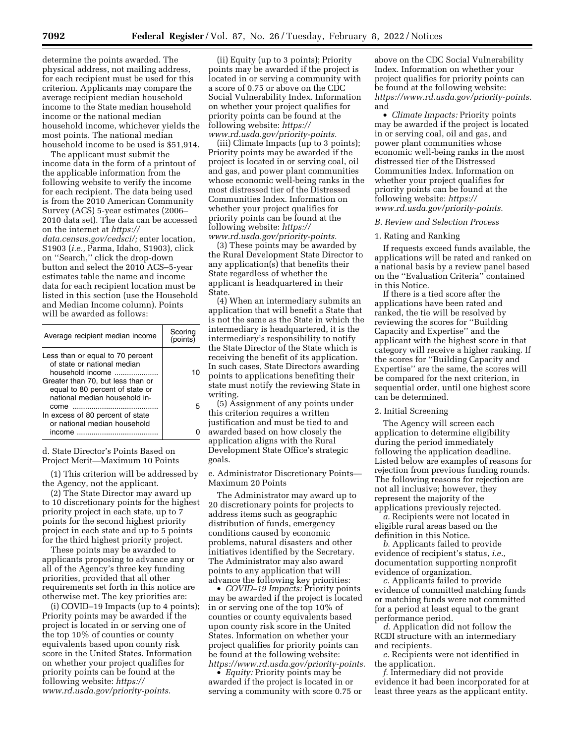determine the points awarded. The physical address, not mailing address, for each recipient must be used for this criterion. Applicants may compare the average recipient median household income to the State median household income or the national median household income, whichever yields the most points. The national median household income to be used is \$51,914.

The applicant must submit the income data in the form of a printout of the applicable information from the following website to verify the income for each recipient. The data being used is from the 2010 American Community Survey (ACS) 5-year estimates (2006– 2010 data set). The data can be accessed on the internet at *[https://](https://data.census.gov/cedsci/) [data.census.gov/cedsci/;](https://data.census.gov/cedsci/)* enter location, S1903 (*i.e.,* Parma, Idaho, S1903), click on ''Search,'' click the drop-down button and select the 2010 ACS–5-year estimates table the name and income data for each recipient location must be listed in this section (use the Household and Median Income column). Points will be awarded as follows:

| Average recipient median income                                                                                                                                                              | Scorina<br>(points) |
|----------------------------------------------------------------------------------------------------------------------------------------------------------------------------------------------|---------------------|
| Less than or equal to 70 percent<br>of state or national median<br>household income<br>Greater than 70, but less than or<br>equal to 80 percent of state or<br>national median household in- |                     |
| come<br>In excess of 80 percent of state<br>or national median household                                                                                                                     |                     |
|                                                                                                                                                                                              |                     |

d. State Director's Points Based on Project Merit—Maximum 10 Points

(1) This criterion will be addressed by the Agency, not the applicant.

(2) The State Director may award up to 10 discretionary points for the highest priority project in each state, up to 7 points for the second highest priority project in each state and up to 5 points for the third highest priority project.

These points may be awarded to applicants proposing to advance any or all of the Agency's three key funding priorities, provided that all other requirements set forth in this notice are otherwise met. The key priorities are:

(i) COVID–19 Impacts (up to 4 points); Priority points may be awarded if the project is located in or serving one of the top 10% of counties or county equivalents based upon county risk score in the United States. Information on whether your project qualifies for priority points can be found at the following website: *[https://](https://www.rd.usda.gov/priority-points) [www.rd.usda.gov/priority-points.](https://www.rd.usda.gov/priority-points)* 

(ii) Equity (up to 3 points); Priority points may be awarded if the project is located in or serving a community with a score of 0.75 or above on the CDC Social Vulnerability Index. Information on whether your project qualifies for priority points can be found at the following website: *[https://](https://www.rd.usda.gov/priority-points) [www.rd.usda.gov/priority-points.](https://www.rd.usda.gov/priority-points)* 

(iii) Climate Impacts (up to 3 points); Priority points may be awarded if the project is located in or serving coal, oil and gas, and power plant communities whose economic well-being ranks in the most distressed tier of the Distressed Communities Index. Information on whether your project qualifies for priority points can be found at the following website: *[https://](https://www.rd.usda.gov/priority-points) [www.rd.usda.gov/priority-points.](https://www.rd.usda.gov/priority-points)* 

(3) These points may be awarded by the Rural Development State Director to any application(s) that benefits their State regardless of whether the applicant is headquartered in their State.

(4) When an intermediary submits an application that will benefit a State that is not the same as the State in which the intermediary is headquartered, it is the intermediary's responsibility to notify the State Director of the State which is receiving the benefit of its application. In such cases, State Directors awarding points to applications benefiting their state must notify the reviewing State in writing.

(5) Assignment of any points under this criterion requires a written justification and must be tied to and awarded based on how closely the application aligns with the Rural Development State Office's strategic goals.

e. Administrator Discretionary Points— Maximum 20 Points

The Administrator may award up to 20 discretionary points for projects to address items such as geographic distribution of funds, emergency conditions caused by economic problems, natural disasters and other initiatives identified by the Secretary. The Administrator may also award points to any application that will advance the following key priorities:

• *COVID–19 Impacts:* Priority points may be awarded if the project is located in or serving one of the top 10% of counties or county equivalents based upon county risk score in the United States. Information on whether your project qualifies for priority points can be found at the following website: *[https://www.rd.usda.gov/priority-points.](https://www.rd.usda.gov/priority-points)* 

• *Equity:* Priority points may be awarded if the project is located in or serving a community with score 0.75 or

above on the CDC Social Vulnerability Index. Information on whether your project qualifies for priority points can be found at the following website: *[https://www.rd.usda.gov/priority-points.](https://www.rd.usda.gov/priority-points)*  and

• *Climate Impacts:* Priority points may be awarded if the project is located in or serving coal, oil and gas, and power plant communities whose economic well-being ranks in the most distressed tier of the Distressed Communities Index. Information on whether your project qualifies for priority points can be found at the following website: *[https://](https://www.rd.usda.gov/priority-points) [www.rd.usda.gov/priority-points.](https://www.rd.usda.gov/priority-points)* 

#### *B. Review and Selection Process*

## 1. Rating and Ranking

If requests exceed funds available, the applications will be rated and ranked on a national basis by a review panel based on the ''Evaluation Criteria'' contained in this Notice.

If there is a tied score after the applications have been rated and ranked, the tie will be resolved by reviewing the scores for ''Building Capacity and Expertise'' and the applicant with the highest score in that category will receive a higher ranking. If the scores for ''Building Capacity and Expertise'' are the same, the scores will be compared for the next criterion, in sequential order, until one highest score can be determined.

#### 2. Initial Screening

The Agency will screen each application to determine eligibility during the period immediately following the application deadline. Listed below are examples of reasons for rejection from previous funding rounds. The following reasons for rejection are not all inclusive; however, they represent the majority of the applications previously rejected.

*a.* Recipients were not located in eligible rural areas based on the definition in this Notice.

*b.* Applicants failed to provide evidence of recipient's status, *i.e.,*  documentation supporting nonprofit evidence of organization.

*c.* Applicants failed to provide evidence of committed matching funds or matching funds were not committed for a period at least equal to the grant performance period.

*d.* Application did not follow the RCDI structure with an intermediary and recipients.

*e.* Recipients were not identified in the application.

*f.* Intermediary did not provide evidence it had been incorporated for at least three years as the applicant entity.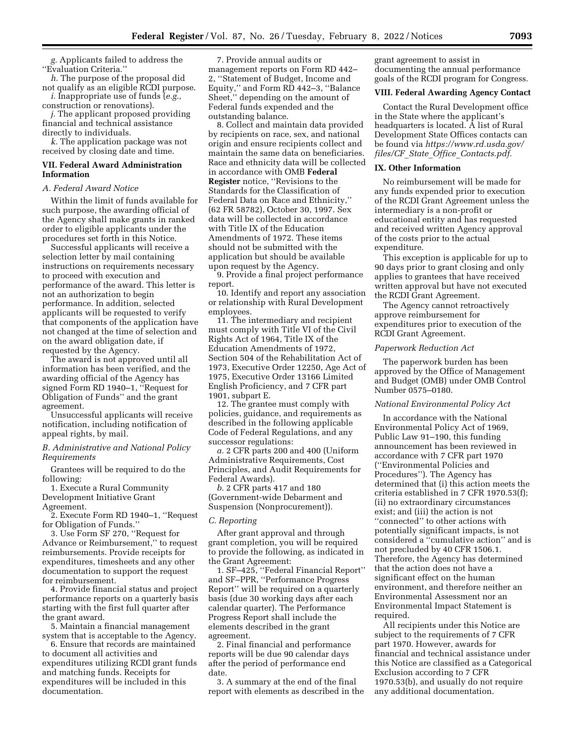*g.* Applicants failed to address the ''Evaluation Criteria.''

*h.* The purpose of the proposal did not qualify as an eligible RCDI purpose. *i.* Inappropriate use of funds (*e.g.,* 

construction or renovations). *j.* The applicant proposed providing

financial and technical assistance directly to individuals.

*k.* The application package was not received by closing date and time.

## **VII. Federal Award Administration Information**

### *A. Federal Award Notice*

Within the limit of funds available for such purpose, the awarding official of the Agency shall make grants in ranked order to eligible applicants under the procedures set forth in this Notice.

Successful applicants will receive a selection letter by mail containing instructions on requirements necessary to proceed with execution and performance of the award. This letter is not an authorization to begin performance. In addition, selected applicants will be requested to verify that components of the application have not changed at the time of selection and on the award obligation date, if requested by the Agency.

The award is not approved until all information has been verified, and the awarding official of the Agency has signed Form RD 1940–1, ''Request for Obligation of Funds'' and the grant agreement.

Unsuccessful applicants will receive notification, including notification of appeal rights, by mail.

## *B. Administrative and National Policy Requirements*

Grantees will be required to do the following:

1. Execute a Rural Community Development Initiative Grant Agreement.

2. Execute Form RD 1940–1, ''Request for Obligation of Funds.''

3. Use Form SF 270, ''Request for Advance or Reimbursement,'' to request reimbursements. Provide receipts for expenditures, timesheets and any other documentation to support the request for reimbursement.

4. Provide financial status and project performance reports on a quarterly basis starting with the first full quarter after the grant award.

5. Maintain a financial management system that is acceptable to the Agency.

6. Ensure that records are maintained to document all activities and expenditures utilizing RCDI grant funds and matching funds. Receipts for expenditures will be included in this documentation.

7. Provide annual audits or management reports on Form RD 442– 2, ''Statement of Budget, Income and Equity,'' and Form RD 442–3, ''Balance Sheet,'' depending on the amount of Federal funds expended and the outstanding balance.

8. Collect and maintain data provided by recipients on race, sex, and national origin and ensure recipients collect and maintain the same data on beneficiaries. Race and ethnicity data will be collected in accordance with OMB **Federal Register** notice, ''Revisions to the Standards for the Classification of Federal Data on Race and Ethnicity,'' (62 FR 58782), October 30, 1997. Sex data will be collected in accordance with Title IX of the Education Amendments of 1972. These items should not be submitted with the application but should be available upon request by the Agency.

9. Provide a final project performance report.

10. Identify and report any association or relationship with Rural Development employees.

11. The intermediary and recipient must comply with Title VI of the Civil Rights Act of 1964, Title IX of the Education Amendments of 1972, Section 504 of the Rehabilitation Act of 1973, Executive Order 12250, Age Act of 1975, Executive Order 13166 Limited English Proficiency, and 7 CFR part 1901, subpart E.

12. The grantee must comply with policies, guidance, and requirements as described in the following applicable Code of Federal Regulations, and any successor regulations:

*a.* 2 CFR parts 200 and 400 (Uniform Administrative Requirements, Cost Principles, and Audit Requirements for Federal Awards).

*b.* 2 CFR parts 417 and 180 (Government-wide Debarment and Suspension (Nonprocurement)).

### *C. Reporting*

After grant approval and through grant completion, you will be required to provide the following, as indicated in the Grant Agreement:

1. SF–425, ''Federal Financial Report'' and SF–PPR, ''Performance Progress Report'' will be required on a quarterly basis (due 30 working days after each calendar quarter). The Performance Progress Report shall include the elements described in the grant agreement.

2. Final financial and performance reports will be due 90 calendar days after the period of performance end date.

3. A summary at the end of the final report with elements as described in the

grant agreement to assist in documenting the annual performance goals of the RCDI program for Congress.

#### **VIII. Federal Awarding Agency Contact**

Contact the Rural Development office in the State where the applicant's headquarters is located. A list of Rural Development State Offices contacts can be found via *[https://www.rd.usda.gov/](https://www.rd.usda.gov/files/CF_State_Office_Contacts.pdf) files/CF*\_*State*\_*Office*\_*[Contacts.pdf.](https://www.rd.usda.gov/files/CF_State_Office_Contacts.pdf)* 

## **IX. Other Information**

No reimbursement will be made for any funds expended prior to execution of the RCDI Grant Agreement unless the intermediary is a non-profit or educational entity and has requested and received written Agency approval of the costs prior to the actual expenditure.

This exception is applicable for up to 90 days prior to grant closing and only applies to grantees that have received written approval but have not executed the RCDI Grant Agreement.

The Agency cannot retroactively approve reimbursement for expenditures prior to execution of the RCDI Grant Agreement.

#### *Paperwork Reduction Act*

The paperwork burden has been approved by the Office of Management and Budget (OMB) under OMB Control Number 0575–0180.

## *National Environmental Policy Act*

In accordance with the National Environmental Policy Act of 1969, Public Law 91–190, this funding announcement has been reviewed in accordance with 7 CFR part 1970 (''Environmental Policies and Procedures''). The Agency has determined that (i) this action meets the criteria established in 7 CFR 1970.53(f); (ii) no extraordinary circumstances exist; and (iii) the action is not "connected" to other actions with potentially significant impacts, is not considered a ''cumulative action'' and is not precluded by 40 CFR 1506.1. Therefore, the Agency has determined that the action does not have a significant effect on the human environment, and therefore neither an Environmental Assessment nor an Environmental Impact Statement is required.

All recipients under this Notice are subject to the requirements of 7 CFR part 1970. However, awards for financial and technical assistance under this Notice are classified as a Categorical Exclusion according to 7 CFR 1970.53(b), and usually do not require any additional documentation.